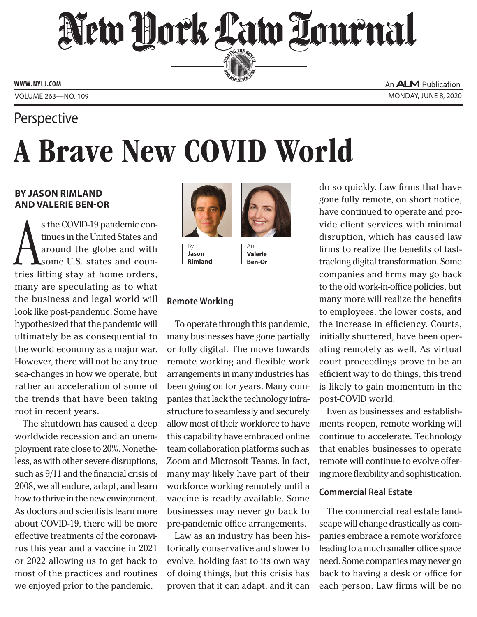## New Hork Law Tournal SERVING THE BET

**ED BAR SINCE 1888** 

**www. NYLJ.com**

Volume 263—NO. 109 Monday, June 8, 2020

### **Perspective**

# A Brave New COVID World

#### **by Jason Rimland and Valerie Ben-Or**

s the COVID-19 pandemic con-<br>tinues in the United States and<br>around the globe and with<br>some U.S. states and coun-<br>tries lifting stay at home orders, s the COVID-19 pandemic continues in the United States and around the globe and with some U.S. states and counmany are speculating as to what the business and legal world will look like post-pandemic. Some have hypothesized that the pandemic will ultimately be as consequential to the world economy as a major war. However, there will not be any true sea-changes in how we operate, but rather an acceleration of some of the trends that have been taking root in recent years.

The shutdown has caused a deep worldwide recession and an unemployment rate close to 20%. Nonetheless, as with other severe disruptions, such as 9/11 and the financial crisis of 2008, we all endure, adapt, and learn how to thrive in the new environment. As doctors and scientists learn more about COVID-19, there will be more effective treatments of the coronavirus this year and a vaccine in 2021 or 2022 allowing us to get back to most of the practices and routines we enjoyed prior to the pandemic.



By **Jason Rimland**



**Valerie Ben-Or**

#### **Remote Working**

To operate through this pandemic, many businesses have gone partially or fully digital. The move towards remote working and flexible work arrangements in many industries has been going on for years. Many companies that lack the technology infrastructure to seamlessly and securely allow most of their workforce to have this capability have embraced online team collaboration platforms such as Zoom and Microsoft Teams. In fact, many may likely have part of their workforce working remotely until a vaccine is readily available. Some businesses may never go back to pre-pandemic office arrangements.

Law as an industry has been historically conservative and slower to evolve, holding fast to its own way of doing things, but this crisis has proven that it can adapt, and it can

do so quickly. Law firms that have gone fully remote, on short notice, have continued to operate and provide client services with minimal disruption, which has caused law firms to realize the benefits of fasttracking digital transformation. Some companies and firms may go back to the old work-in-office policies, but many more will realize the benefits to employees, the lower costs, and the increase in efficiency. Courts, initially shuttered, have been operating remotely as well. As virtual court proceedings prove to be an efficient way to do things, this trend is likely to gain momentum in the post-COVID world.

Even as businesses and establishments reopen, remote working will continue to accelerate. Technology that enables businesses to operate remote will continue to evolve offering more flexibility and sophistication.

#### **Commercial Real Estate**

The commercial real estate landscape will change drastically as companies embrace a remote workforce leading to a much smaller office space need. Some companies may never go back to having a desk or office for each person. Law firms will be no

An **ALM** Publication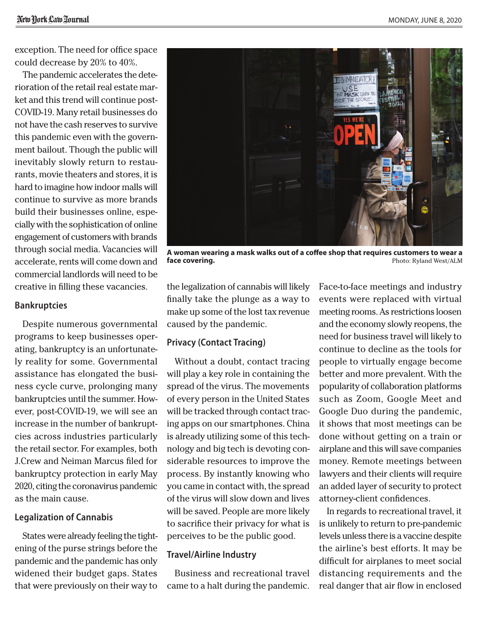exception. The need for office space could decrease by 20% to 40%.

The pandemic accelerates the deterioration of the retail real estate market and this trend will continue post-COVID-19. Many retail businesses do not have the cash reserves to survive this pandemic even with the government bailout. Though the public will inevitably slowly return to restaurants, movie theaters and stores, it is hard to imagine how indoor malls will continue to survive as more brands build their businesses online, especially with the sophistication of online engagement of customers with brands through social media. Vacancies will accelerate, rents will come down and commercial landlords will need to be creative in filling these vacancies.

#### **Bankruptcies**

Despite numerous governmental programs to keep businesses operating, bankruptcy is an unfortunately reality for some. Governmental assistance has elongated the business cycle curve, prolonging many bankruptcies until the summer. However, post-COVID-19, we will see an increase in the number of bankruptcies across industries particularly the retail sector. For examples, both J.Crew and Neiman Marcus filed for bankruptcy protection in early May 2020, citing the coronavirus pandemic as the main cause.

#### **Legalization of Cannabis**

States were already feeling the tightening of the purse strings before the pandemic and the pandemic has only widened their budget gaps. States that were previously on their way to



**A woman wearing a mask walks out of a coffee shop that requires customers to wear a face covering. face covering. Photo: Ryland West/ALM** 

the legalization of cannabis will likely finally take the plunge as a way to make up some of the lost tax revenue caused by the pandemic.

#### **Privacy (Contact Tracing)**

Without a doubt, contact tracing will play a key role in containing the spread of the virus. The movements of every person in the United States will be tracked through contact tracing apps on our smartphones. China is already utilizing some of this technology and big tech is devoting considerable resources to improve the process. By instantly knowing who you came in contact with, the spread of the virus will slow down and lives will be saved. People are more likely to sacrifice their privacy for what is perceives to be the public good.

#### **Travel/Airline Industry**

Business and recreational travel came to a halt during the pandemic.

Face-to-face meetings and industry events were replaced with virtual meeting rooms. As restrictions loosen and the economy slowly reopens, the need for business travel will likely to continue to decline as the tools for people to virtually engage become better and more prevalent. With the popularity of collaboration platforms such as Zoom, Google Meet and Google Duo during the pandemic, it shows that most meetings can be done without getting on a train or airplane and this will save companies money. Remote meetings between lawyers and their clients will require an added layer of security to protect attorney-client confidences.

In regards to recreational travel, it is unlikely to return to pre-pandemic levels unless there is a vaccine despite the airline's best efforts. It may be difficult for airplanes to meet social distancing requirements and the real danger that air flow in enclosed